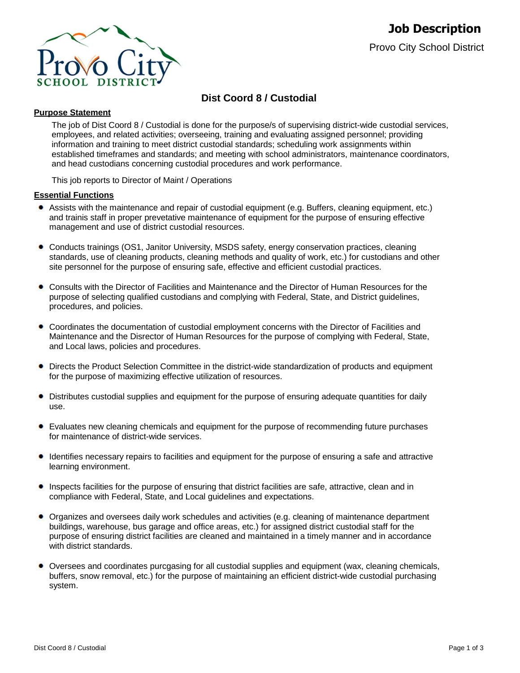

# **Dist Coord 8 / Custodial**

# **Purpose Statement**

The job of Dist Coord 8 / Custodial is done for the purpose/s of supervising district-wide custodial services, employees, and related activities; overseeing, training and evaluating assigned personnel; providing information and training to meet district custodial standards; scheduling work assignments within established timeframes and standards; and meeting with school administrators, maintenance coordinators, and head custodians concerning custodial procedures and work performance.

This job reports to Director of Maint / Operations

# **Essential Functions**

- Assists with the maintenance and repair of custodial equipment (e.g. Buffers, cleaning equipment, etc.) and trainis staff in proper prevetative maintenance of equipment for the purpose of ensuring effective management and use of district custodial resources.
- Conducts trainings (OS1, Janitor University, MSDS safety, energy conservation practices, cleaning standards, use of cleaning products, cleaning methods and quality of work, etc.) for custodians and other site personnel for the purpose of ensuring safe, effective and efficient custodial practices.
- Consults with the Director of Facilities and Maintenance and the Director of Human Resources for the purpose of selecting qualified custodians and complying with Federal, State, and District guidelines, procedures, and policies.
- Coordinates the documentation of custodial employment concerns with the Director of Facilities and Maintenance and the Disrector of Human Resources for the purpose of complying with Federal, State, and Local laws, policies and procedures.
- Directs the Product Selection Committee in the district-wide standardization of products and equipment for the purpose of maximizing effective utilization of resources.
- $\bullet$ Distributes custodial supplies and equipment for the purpose of ensuring adequate quantities for daily use.
- Evaluates new cleaning chemicals and equipment for the purpose of recommending future purchases for maintenance of district-wide services.
- Identifies necessary repairs to facilities and equipment for the purpose of ensuring a safe and attractive learning environment.
- Inspects facilities for the purpose of ensuring that district facilities are safe, attractive, clean and in compliance with Federal, State, and Local guidelines and expectations.
- Organizes and oversees daily work schedules and activities (e.g. cleaning of maintenance department buildings, warehouse, bus garage and office areas, etc.) for assigned district custodial staff for the purpose of ensuring district facilities are cleaned and maintained in a timely manner and in accordance with district standards.
- Oversees and coordinates purcgasing for all custodial supplies and equipment (wax, cleaning chemicals, buffers, snow removal, etc.) for the purpose of maintaining an efficient district-wide custodial purchasing system.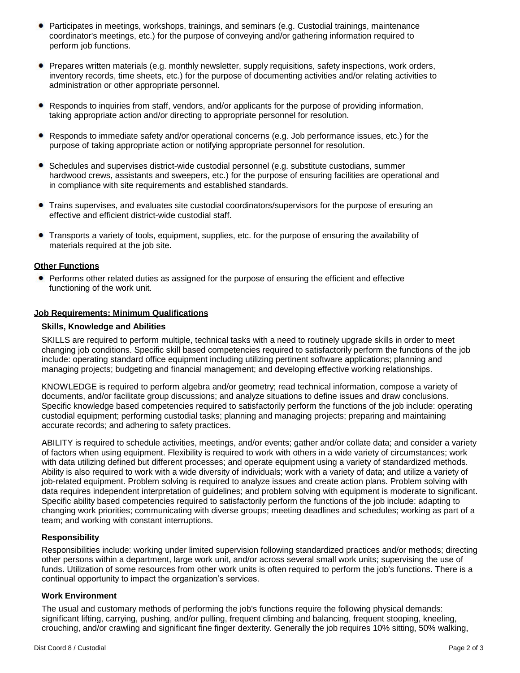- Participates in meetings, workshops, trainings, and seminars (e.g. Custodial trainings, maintenance coordinator's meetings, etc.) for the purpose of conveying and/or gathering information required to perform job functions.
- Prepares written materials (e.g. monthly newsletter, supply requisitions, safety inspections, work orders, inventory records, time sheets, etc.) for the purpose of documenting activities and/or relating activities to administration or other appropriate personnel.
- Responds to inquiries from staff, vendors, and/or applicants for the purpose of providing information, taking appropriate action and/or directing to appropriate personnel for resolution.
- Responds to immediate safety and/or operational concerns (e.g. Job performance issues, etc.) for the purpose of taking appropriate action or notifying appropriate personnel for resolution.
- Schedules and supervises district-wide custodial personnel (e.g. substitute custodians, summer hardwood crews, assistants and sweepers, etc.) for the purpose of ensuring facilities are operational and in compliance with site requirements and established standards.
- Trains supervises, and evaluates site custodial coordinators/supervisors for the purpose of ensuring an effective and efficient district-wide custodial staff.
- Transports a variety of tools, equipment, supplies, etc. for the purpose of ensuring the availability of materials required at the job site.

### **Other Functions**

• Performs other related duties as assigned for the purpose of ensuring the efficient and effective functioning of the work unit.

# **Job Requirements: Minimum Qualifications**

### **Skills, Knowledge and Abilities**

SKILLS are required to perform multiple, technical tasks with a need to routinely upgrade skills in order to meet changing job conditions. Specific skill based competencies required to satisfactorily perform the functions of the job include: operating standard office equipment including utilizing pertinent software applications; planning and managing projects; budgeting and financial management; and developing effective working relationships.

KNOWLEDGE is required to perform algebra and/or geometry; read technical information, compose a variety of documents, and/or facilitate group discussions; and analyze situations to define issues and draw conclusions. Specific knowledge based competencies required to satisfactorily perform the functions of the job include: operating custodial equipment; performing custodial tasks; planning and managing projects; preparing and maintaining accurate records; and adhering to safety practices.

ABILITY is required to schedule activities, meetings, and/or events; gather and/or collate data; and consider a variety of factors when using equipment. Flexibility is required to work with others in a wide variety of circumstances; work with data utilizing defined but different processes; and operate equipment using a variety of standardized methods. Ability is also required to work with a wide diversity of individuals; work with a variety of data; and utilize a variety of job-related equipment. Problem solving is required to analyze issues and create action plans. Problem solving with data requires independent interpretation of guidelines; and problem solving with equipment is moderate to significant. Specific ability based competencies required to satisfactorily perform the functions of the job include: adapting to changing work priorities; communicating with diverse groups; meeting deadlines and schedules; working as part of a team; and working with constant interruptions.

### **Responsibility**

Responsibilities include: working under limited supervision following standardized practices and/or methods; directing other persons within a department, large work unit, and/or across several small work units; supervising the use of funds. Utilization of some resources from other work units is often required to perform the job's functions. There is a continual opportunity to impact the organization's services.

### **Work Environment**

The usual and customary methods of performing the job's functions require the following physical demands: significant lifting, carrying, pushing, and/or pulling, frequent climbing and balancing, frequent stooping, kneeling, crouching, and/or crawling and significant fine finger dexterity. Generally the job requires 10% sitting, 50% walking,